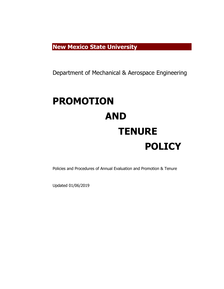**New Mexico State University**

Department of Mechanical & Aerospace Engineering

# **PROMOTION AND TENURE POLICY**

Policies and Procedures of Annual Evaluation and Promotion & Tenure

Updated 01/06/2019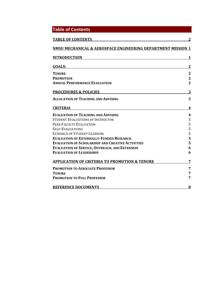| <b>Table of Contents</b>                                     |                         |
|--------------------------------------------------------------|-------------------------|
| <b>TABLE OF CONTENTS</b>                                     |                         |
| NMSU MECHANICAL & AEROSPACE ENGINEERING DEPARTMENT MISSION 1 |                         |
| <b>INTRODUCTION</b>                                          |                         |
| <b>GOALS:</b>                                                | $\mathbf 2$             |
| <b>TENURE</b>                                                | $\mathbf{2}$            |
| <b>PROMOTION</b>                                             | $\overline{\mathbf{2}}$ |
| <b>ANNUAL PERFORMANCE EVALUATION</b>                         | $\overline{2}$          |
| <b>PROCEDURES &amp; POLICIES</b>                             | 3                       |
| <b>ALLOCATION OF TEACHING AND ADVISING</b>                   | 3                       |
| <b>CRITERIA</b>                                              | 4                       |
| <b>EVALUATION OF TEACHING AND ADVISING</b>                   | $\boldsymbol{4}$        |
| <b>STUDENT EVALUATIONS OF INSTRUCTOR</b>                     | 5                       |
| PEER FACULTY EVALUATION                                      | 5                       |
| <b>SELF-EVALUATIONS</b>                                      | 5                       |
| <b>EVIDENCE OF STUDENT LEARNING</b>                          | 5                       |
| <b>EVALUATION OF EXTERNALLY-FUNDED RESEARCH</b>              | 5                       |
| <b>EVALUATION OF SCHOLARSHIP AND CREATIVE ACTIVITIES</b>     | 5                       |
| <b>EVALUATION OF SERVICE, OUTREACH, AND EXTENSION</b>        | 6                       |
| <b>EVALUATION OF LEADERSHIP</b>                              | 6                       |
| <b>APPLICATION OF CRITERIA TO PROMOTION &amp; TENURE</b>     | 7                       |
| <b>PROMOTION TO ASSOCIATE PROFESSOR</b>                      | 7                       |
| <b>TENURE</b>                                                | 7                       |
| <b>PROMOTION TO FULL PROFESSOR</b>                           | 7                       |
| <b>REFERENCE DOCUMENTS</b>                                   | 8                       |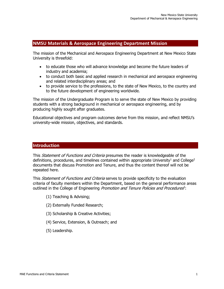# **NMSU Materials & Aerospace Engineering Department Mission**

The mission of the Mechanical and Aerospace Engineering Department at New Mexico State University is threefold:

- to educate those who will advance knowledge and become the future leaders of industry and academia;
- to conduct both basic and applied research in mechanical and aerospace engineering and related interdisciplinary areas; and
- to provide service to the professions, to the state of New Mexico, to the country and to the future development of engineering worldwide.

The mission of the Undergraduate Program is to serve the state of New Mexico by providing students with a strong background in mechanical or aerospace engineering, and by producing highly sought after graduates.

Educational objectives and program outcomes derive from this mission, and reflect NMSU's university-wide mission, objectives, and standards.

# **Introduction**

This *Statement of Functions and Criteria* presumes the reader is knowledgeable of the definitions, procedures, and timelines contained within appropriate University<sup>1</sup> and College<sup>2</sup> documents that discuss Promotion and Tenure, and thus the content thereof will not be repeated here.

This *Statement of Functions and Criteria* serves to provide specificity to the evaluation criteria of faculty members within the Department, based on the general performance areas outlined in the College of Engineering Promotion and Tenure Policies and Procedures<sup>2</sup>:

- (1) Teaching & Advising;
- (2) Externally Funded Research;
- (3) Scholarship & Creative Activities;
- (4) Service, Extension, & Outreach; and
- (5) Leadership.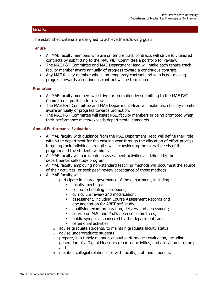# **Goals:**

The established criteria are designed to achieve the following goals:

# **Tenure**

- All MAE faculty members who are on tenure track contracts will strive for, tenured contracts by submitting to the MAE P&T Committee a portfolio for review.
- The MAE P&T Committee and MAE Department Head will make each tenure-track faculty member aware annually of progress toward a continuous contract.
- Any MAE faculty member who is on temporary contract and who is not making progress towards a continuous contract will be terminated.

# **Promotion**

- All MAE faculty members will strive for promotion by submitting to the MAE P&T Committee a portfolio for review.
- The MAE P&T Committee and MAE Department Head will make each faculty member aware annually of progress towards promotion.
- The MAE P&T Committee will assist MAE faculty members in being promoted when their performance meets/exceeds departmental standards.

# **Annual Performance Evaluation**

- All MAE faculty with guidance from the MAE Department Head will define their role within the department for the ensuing year through the allocation of effort process targeting their individual strengths while considering the overall needs of the program and the students within it.
- All MAE faculty will participate in assessment activities as defined by the departmental self-study program.
- All MAE faculty employing non-standard teaching methods will document the source of their activities, or seek peer-review acceptance of those methods.
- All MAE faculty will:
	- $\circ$  participate in shared governance of the department, including:
		- **•** faculty meetings;
		- course scheduling discussions;
		- curriculum review and modification;
		- **EXECO ASSESSMENT ASSESSMENT RECORDS** and documentation for ABET self-study;
		- qualifying exam preparation, delivery and assessment;
		- service on M.S. and Ph.D. defense committees;
		- public symposia sponsored by the department; and
		- ceremonial activities
		- o advise graduate students, to maintain graduate faculty status
		- o advise undergraduate students
	- $\circ$  prepare, in a timely manner, annual performance evaluation, including generation of a Digital Measures report of activities, and allocation of effort; and
	- $\circ$  maintain collegial relationships with faculty, staff and students.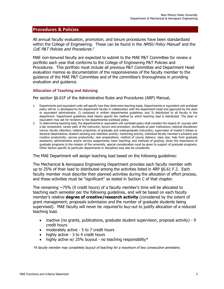# **Procedures & Policies**

All annual faculty evaluation, promotion, and tenure procedures have been standardized within the College of Engineering. These can be found in the *NMSU Policy Manual*<sup>1</sup> and the CoE P&T Policies and Procedures. 2

MAE non-tenured faculty are expected to submit to the MAE P&T Committee for review a portfolio each year that conforms to the College of Engineering P&T Policies and Procedures. This portfolio must include all previous P&T Committee and Department Head evaluation memos as documentation of the responsiveness of the faculty member to the guidance of the MAE P&T Committee and of the committee's thoroughness in providing evaluation and guidance.

# **Allocation of Teaching and Advising**

Per section §6.61F of the Administrative Rules and Procedures (ARP) Manual,

- 1. Departments and equivalent units will specify how they determine teaching loads. Departmental or equivalent unit workload policy will be 1) developed by the department faculty in collaboration with the department head and approved by the dean or equivalent administrator, 2) contained in written departmental guidelines, and 3) distributed to all faculty in the department. Department guidelines shall clearly specify the method by which teaching load is distributed. The dean or equivalent may ask for revisions to the departmental workload policy.
- 2. In determining teaching load, the departmental or equivalent unit workload policy shall consider the impact of: courses with a lab component; career path of the instructor; tenure and promotion; workloads at peer institutions; national disciplinary norms; faculty retention; relative proportion of graduate and undergraduate instruction; supervision of master's theses or doctoral dissertations; student advising and retention activity; mentoring activity, individual faculty member's scholarly and creative productivity; service productivity; new preparations; method of course delivery; class size; help from graduate assistants; administrative and/or service assignments; team teaching; and methods of grading. Given the importance of graduate programs to the mission of the university, special consideration must be given to support of graduate programs. Other factors specific to particular departments or disciplines may also be considered.

The MAE Department will assign teaching load based on the following guidelines:

The Mechanical & Aerospace Engineering Department provides each faculty member with up to 25% of their load to distributed among the activities listed in ARP §6.61 F.2. Each faculty member must describe their planned activities during the allocation of effort process, and these activities must be "significant" as stated in Section C of that chapter.

The remaining  $\sim$ 75% (9 credit hours) of a faculty member's time will be allocated to teaching each semester per the following guidelines, and will be based on each faculty member's relative **degree of creative/research activity** (considered by the extent of grant management, proposals submission and the number of graduate students being supervised). MAE faculty will never be *required* to buy-out to justify allocation of a reduced teaching load.

- inactive (no grants, publications, graduate student supervision, proposal activity) 9 credit hours
- moderately active 5 to 7 credit hours
- highly active 3 to 4 credit hours
- highly active w/ 25% buyout no teaching responsibility $*$

\*A faculty member may completely buyout of teaching for a maximum of two consecutive semesters.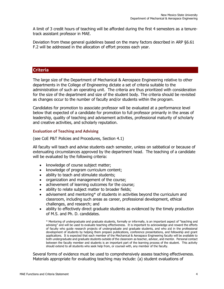A limit of 3 credit hours of teaching will be afforded during the first 4 semesters as a tenuretrack assistant professor in MAE.

Deviation from these general guidelines based on the many factors described in ARP §6.61 F.2 will be addressed in the allocation of effort process each year.

# **Criteria**

The large size of the Department of Mechanical & Aerospace Engineering relative to other departments in the College of Engineering dictate a set of criteria suitable to the administration of such an operating unit. The criteria are thus prioritized with consideration for the size of the department and size of the student body. The criteria should be revisited as changes occur to the number of faculty and/or students within the program.

Candidates for promotion to associate professor will be evaluated at a performance level below that expected of a candidate for promotion to full professor primarily in the areas of leadership, quality of teaching and advisement activities, professional maturity of scholarly and creative activities, and scholarly reputation.

# **Evaluation of Teaching and Advising**

(see CoE P&T Policies and Procedures, Section 4.1)

All faculty will teach and advise students each semester, unless on sabbatical or because of extenuating circumstances approved by the department head. The teaching of a candidate will be evaluated by the following criteria:

- knowledge of course subject matter;
- knowledge of program curriculum content;
- ability to teach and stimulate students;
- organization and management of the course;
- achievement of learning outcomes for the course;
- ability to relate subject matter to broader fields;
- advisement and mentoring\* of students in activities beyond the curriculum and classroom, including such areas as career, professional development, ethical challenges, and research; and
- ability to effectively direct graduate students as evidenced by the timely production of M.S. and Ph. D. candidates.

\* Mentoring of undergraduate and graduate students, formally or informally, is an important aspect of "teaching and advising" and will be used to evaluate teaching effectiveness. It is important to acknowledge and reward the efforts of faculty who guide research projects of undergraduate and graduate students, and who aid in the professional development of students by helping them prepare publications, conference presentations, and fellowship and grant applications. It is expected that each member of the Mechanical & Aerospace Engineering faculty will be available to both undergraduate and graduate students outside of the classroom as teacher, advisor, and mentor. Personal contact between the faculty member and students is an important part of the learning process of the student. This activity should extend to all students who seek help from, or counsel with, any member of the faculty.

Several forms of evidence must be used to comprehensively assess teaching effectiveness. Materials appropriate for evaluating teaching may include: (a) student evaluations of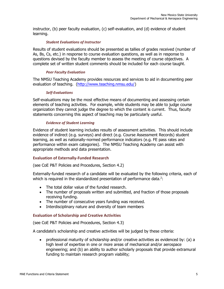instructor, (b) peer faculty evaluation, (c) self-evaluation, and (d) evidence of student learning.

#### *Student Evaluations of Instructor*

Results of student evaluations should be presented as tallies of grades received (number of As, Bs, Cs, etc.) in response to course evaluation questions, as well as in response to questions devised by the faculty member to assess the meeting of course objectives. A complete set of written student comments should be included for each course taught.

#### *Peer Faculty Evaluation*

The NMSU Teaching Academy provides resources and services to aid in documenting peer evaluation of teaching. [\(http://www.teaching.nmsu.edu/\)](http://www.teaching.nmsu.edu/)

#### *Self-Evaluations*

Self-evaluations may be the most effective means of documenting and assessing certain elements of teaching activities. For example, while students may be able to judge course organization they cannot judge the degree to which the content is current. Thus, faculty statements concerning this aspect of teaching may be particularly useful.

# *Evidence of Student Learning*

Evidence of student learning includes results of assessment activities. This should include evidence of indirect (e.g. surveys) and direct (e.g. Course Assessment Records) student learning, as well as nationally-normed performance indicators (e.g. FE pass rates and performance within exam categories). The NMSU Teaching Academy can assist with appropriate methods and data presentation.

# **Evaluation of Externally-Funded Research**

(see CoE P&T Policies and Procedures, Section 4.2)

Externally-funded research of a candidate will be evaluated by the following criteria, each of which is required in the standardized presentation of performance data. $2$ :

- The total dollar value of the funded research.
- The number of proposals written and submitted, and fraction of those proposals receiving funding.
- The number of consecutive years funding was received.
- Interdisciplinary nature and diversity of team members

# **Evaluation of Scholarship and Creative Activities**

(see CoE P&T Policies and Procedures, Section 4.3)

A candidate's scholarship and creative activities will be judged by these criteria:

• professional maturity of scholarship and/or creative activities as evidenced by: (a) a high level of expertise in one or more areas of mechanical and/or aerospace engineering; and (b) an ability to author scholarly proposals that provide extramural funding to maintain research program viability;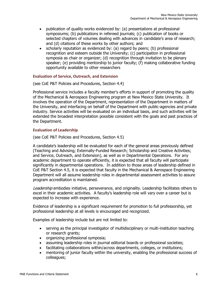- publication of quality works evidenced by: (a) presentations at professional symposiums; (b) publications in refereed journals; (c) publication of books or selected chapters of volumes dealing with advances in candidate's area of research; and (d) citations of these works by other authors; and
- scholarly reputation as evidenced by: (a) regard by peers; (b) professional recognition and esteem outside the University; (c) participation in professional symposia as chair or organizer; (d) recognition through invitation to be plenary speaker; (e) providing mentorship to junior faculty; (f) making collaborative funding opportunity available to other researchers

# **Evaluation of Service, Outreach, and Extension**

(see CoE P&T Policies and Procedures, Section 4.4)

Professional service includes a faculty member's efforts in support of promoting the quality of the Mechanical & Aerospace Engineering program at New Mexico State University. It involves the operation of the Department, representation of the Department in matters of the University, and interfacing on behalf of the Department with public-agencies and private industry. Service activities will be evaluated on an individual basis, and such activities will be extended the broadest interpretation possible consistent with the goals and past practices of the Department.

# **Evaluation of Leadership**

(see CoE P&T Policies and Procedures, Section 4.5)

A candidate's leadership will be evaluated for each of the general areas previously defined (Teaching and Advising; Externally-Funded Research; Scholarship and Creative Activities; and Service, Outreach, and Extension), as well as in Departmental Operations. For any academic department to operate efficiently, it is expected that all faculty will participate significantly in departmental operations. In addition to those areas of leadership defined in CoE P&T Section 4.5, it is expected that faculty in the Mechanical & Aerospace Engineering Department will all assume leadership roles in departmental assessment activities to assure program accreditation is maintained.

Leadership embodies initiative, perseverance, and originality. Leadership facilitates others to excel in their academic activities. A faculty's leadership role will vary over a career but is expected to increase with experience.

Evidence of leadership is a significant requirement for promotion to full professorship, yet professional leadership at all levels is encouraged and recognized.

Examples of leadership include but are not limited to:

- serving as the principal investigator of multidisciplinary or multi-institution teaching or research grants;
- organizing professional symposia;
- assuming leadership roles in journal editorial boards or professional societies;
- facilitating collaborations within/across departments, colleges, or institutions;
- mentoring of junior faculty within the university, enabling the professional success of colleagues;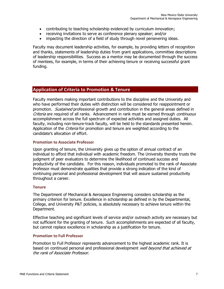- contributing to teaching scholarship evidenced by curriculum innovation;
- receiving invitations to serve as conference plenary speaker; and/or
- impacting the direction of a field of study through novel persevering ideas.

Faculty may document leadership activities, for example, by providing letters of recognition and thanks, statements of leadership duties from grant applications, committee descriptions of leadership responsibilities. Success as a mentor may be documented through the success of mentees, for example, in terms of their achieving tenure or receiving successful grant funding.

# **Application of Criteria to Promotion & Tenure**

Faculty members making important contributions to the discipline and the University and who have performed their duties with distinction will be considered for reappointment or promotion. *Sustained* professional growth and contribution in the general areas defined in Criteria are required of all ranks. Advancement in rank must be earned through *continuous* accomplishment across the full spectrum of expected activities and assigned duties. All faculty, including non-tenure-track faculty, will be held to the standards presented herein. Application of the *Criteria* for promotion and tenure are weighted according to the candidate's allocation of effort.

# **Promotion to Associate Professor**

Upon granting of tenure, the University gives up the option of annual contract of an individual to afford that individual with academic freedom. The University thereby trusts the judgment of peer evaluators to determine the likelihood of continued success and productivity of the candidate. For this reason, individuals promoted to the rank of Associate Professor must demonstrate qualities that provide a strong indication of the kind of continuing personal and professional development that will assure sustained productivity throughout a career.

# **Tenure**

The Department of Mechanical & Aerospace Engineering considers scholarship as the primary criterion for tenure. Excellence in scholarship as defined in by the Departmental, College, and University P&T policies, is absolutely necessary to achieve tenure within the Department.

Effective teaching and significant levels of service and/or outreach activity are necessary but not sufficient for the granting of tenure. Such accomplishments are expected of all faculty, but cannot replace excellence in scholarship as a justification for tenure.

# **Promotion to Full Professor**

Promotion to Full Professor represents advancement to the highest academic rank. It is based on continued personal and professional development *well beyond that achieved at* the rank of Associate Professor.